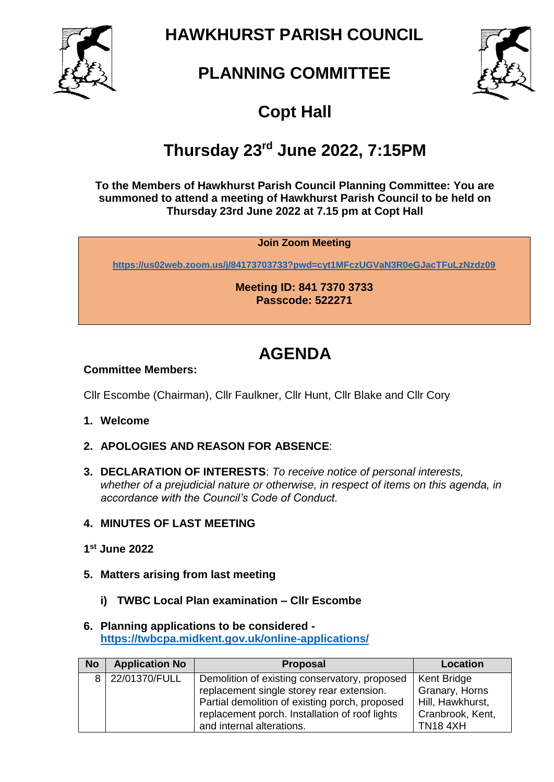

**HAWKHURST PARISH COUNCIL**

# **PLANNING COMMITTEE**



## **Copt Hall**

# **Thursday 23rd June 2022, 7:15PM**

**To the Members of Hawkhurst Parish Council Planning Committee: You are summoned to attend a meeting of Hawkhurst Parish Council to be held on Thursday 23rd June 2022 at 7.15 pm at Copt Hall**

### **Join Zoom Meeting**

**<https://us02web.zoom.us/j/84173703733?pwd=cyt1MFczUGVaN3R0eGJacTFuLzNzdz09>**

**Meeting ID: 841 7370 3733 Passcode: 522271**

## **AGENDA**

### **Committee Members:**

Cllr Escombe (Chairman), Cllr Faulkner, Cllr Hunt, Cllr Blake and Cllr Cory

- **1. Welcome**
- **2. APOLOGIES AND REASON FOR ABSENCE**:
- **3. DECLARATION OF INTERESTS**: *To receive notice of personal interests, whether of a prejudicial nature or otherwise, in respect of items on this agenda, in accordance with the Council's Code of Conduct.*
- **4. MINUTES OF LAST MEETING**
- **1 st June 2022**
- **5. Matters arising from last meeting**
	- **i) TWBC Local Plan examination – Cllr Escombe**

#### **6. Planning applications to be considered <https://twbcpa.midkent.gov.uk/online-applications/>**

| <b>No</b> | <b>Application No</b> | <b>Proposal</b>                                | Location         |
|-----------|-----------------------|------------------------------------------------|------------------|
|           | 8 22/01370/FULL       | Demolition of existing conservatory, proposed  | Kent Bridge      |
|           |                       | replacement single storey rear extension.      | Granary, Horns   |
|           |                       | Partial demolition of existing porch, proposed | Hill, Hawkhurst, |
|           |                       | replacement porch. Installation of roof lights | Cranbrook, Kent, |
|           |                       | and internal alterations.                      | <b>TN18 4XH</b>  |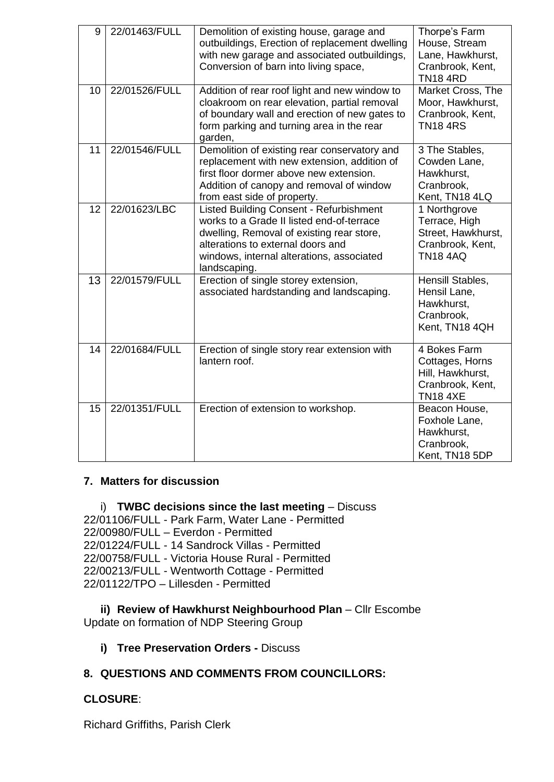| 9  | 22/01463/FULL | Demolition of existing house, garage and<br>outbuildings, Erection of replacement dwelling<br>with new garage and associated outbuildings,<br>Conversion of barn into living space,                                                        | Thorpe's Farm<br>House, Stream<br>Lane, Hawkhurst,<br>Cranbrook, Kent,<br><b>TN18 4RD</b>  |
|----|---------------|--------------------------------------------------------------------------------------------------------------------------------------------------------------------------------------------------------------------------------------------|--------------------------------------------------------------------------------------------|
| 10 | 22/01526/FULL | Addition of rear roof light and new window to<br>cloakroom on rear elevation, partial removal<br>of boundary wall and erection of new gates to<br>form parking and turning area in the rear<br>garden,                                     | Market Cross, The<br>Moor, Hawkhurst,<br>Cranbrook, Kent,<br><b>TN184RS</b>                |
| 11 | 22/01546/FULL | Demolition of existing rear conservatory and<br>replacement with new extension, addition of<br>first floor dormer above new extension.<br>Addition of canopy and removal of window<br>from east side of property.                          | 3 The Stables,<br>Cowden Lane,<br>Hawkhurst,<br>Cranbrook,<br>Kent, TN18 4LQ               |
| 12 | 22/01623/LBC  | <b>Listed Building Consent - Refurbishment</b><br>works to a Grade II listed end-of-terrace<br>dwelling, Removal of existing rear store,<br>alterations to external doors and<br>windows, internal alterations, associated<br>landscaping. | 1 Northgrove<br>Terrace, High<br>Street, Hawkhurst,<br>Cranbrook, Kent,<br><b>TN18 4AQ</b> |
| 13 | 22/01579/FULL | Erection of single storey extension,<br>associated hardstanding and landscaping.                                                                                                                                                           | Hensill Stables,<br>Hensil Lane,<br>Hawkhurst,<br>Cranbrook,<br>Kent, TN18 4QH             |
| 14 | 22/01684/FULL | Erection of single story rear extension with<br>lantern roof.                                                                                                                                                                              | 4 Bokes Farm<br>Cottages, Horns<br>Hill, Hawkhurst,<br>Cranbrook, Kent,<br><b>TN18 4XE</b> |
| 15 | 22/01351/FULL | Erection of extension to workshop.                                                                                                                                                                                                         | Beacon House,<br>Foxhole Lane,<br>Hawkhurst,<br>Cranbrook,<br>Kent, TN18 5DP               |

### **7. Matters for discussion**

i) **TWBC decisions since the last meeting** – Discuss 22/01106/FULL - Park Farm, Water Lane - Permitted 22/00980/FULL – Everdon - Permitted 22/01224/FULL - 14 Sandrock Villas - Permitted 22/00758/FULL - Victoria House Rural - Permitted 22/00213/FULL - Wentworth Cottage - Permitted 22/01122/TPO – Lillesden - Permitted

**ii) Review of Hawkhurst Neighbourhood Plan** – Cllr Escombe Update on formation of NDP Steering Group

**i) Tree Preservation Orders -** Discuss

## **8. QUESTIONS AND COMMENTS FROM COUNCILLORS:**

## **CLOSURE**:

Richard Griffiths, Parish Clerk